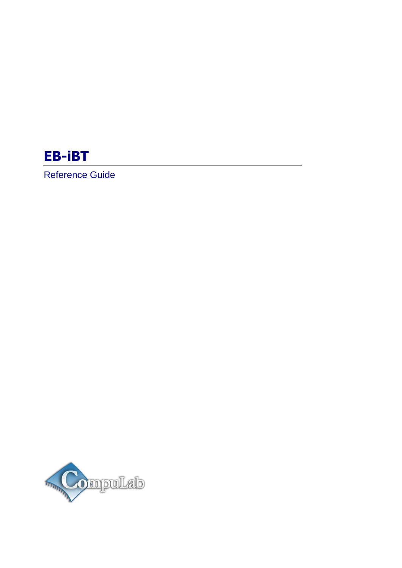# **EB-iBT**

Reference Guide

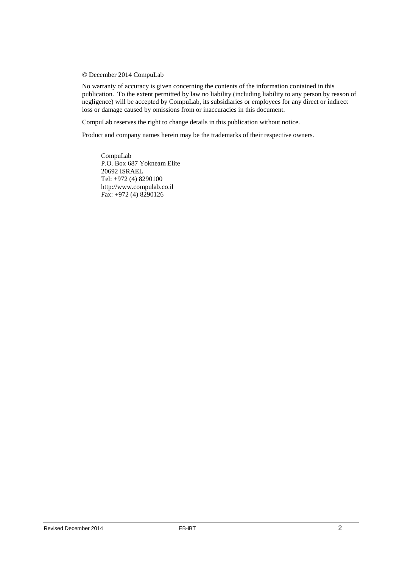#### © December 2014 CompuLab

No warranty of accuracy is given concerning the contents of the information contained in this publication. To the extent permitted by law no liability (including liability to any person by reason of negligence) will be accepted by CompuLab, its subsidiaries or employees for any direct or indirect loss or damage caused by omissions from or inaccuracies in this document.

CompuLab reserves the right to change details in this publication without notice.

Product and company names herein may be the trademarks of their respective owners.

CompuLab P.O. Box 687 Yokneam Elite 20692 ISRAEL Tel: +972 (4) 8290100 http://www.compulab.co.il Fax: +972 (4) 8290126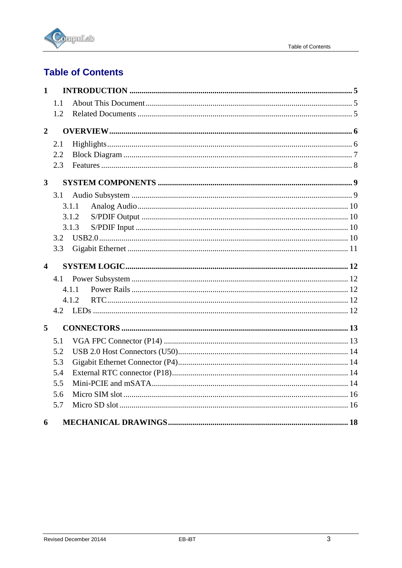

# **Table of Contents**

| $\mathbf{1}$            |       |  |
|-------------------------|-------|--|
|                         | 1.1   |  |
|                         | 1.2   |  |
| $\overline{2}$          |       |  |
|                         | 2.1   |  |
|                         | 2.2   |  |
|                         | 2.3   |  |
| $\overline{\mathbf{3}}$ |       |  |
|                         | 3.1   |  |
|                         | 3.1.1 |  |
|                         | 3.1.2 |  |
|                         | 3.1.3 |  |
|                         | 3.2   |  |
|                         | 3.3   |  |
|                         |       |  |
| $\overline{\mathbf{4}}$ |       |  |
|                         | 4.1   |  |
|                         | 4.1.1 |  |
|                         | 4.1.2 |  |
|                         |       |  |
| 5                       |       |  |
|                         | 5.1   |  |
|                         | 5.2   |  |
|                         | 5.3   |  |
|                         | 5.4   |  |
|                         | 5.5   |  |
|                         | 5.6   |  |
|                         | 5.7   |  |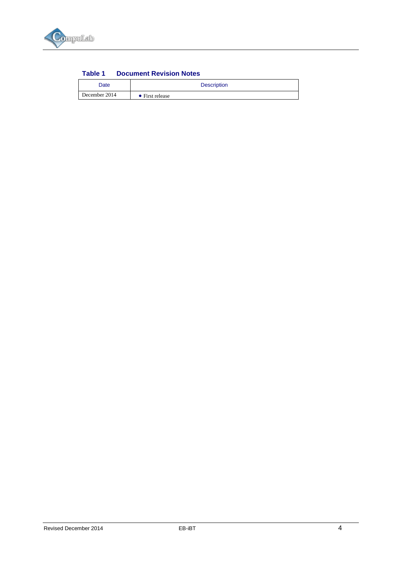

| Table 1 | <b>Document Revision Notes</b> |  |
|---------|--------------------------------|--|
|         |                                |  |

| Date          | <b>Description</b>      |  |
|---------------|-------------------------|--|
| December 2014 | $\bullet$ First release |  |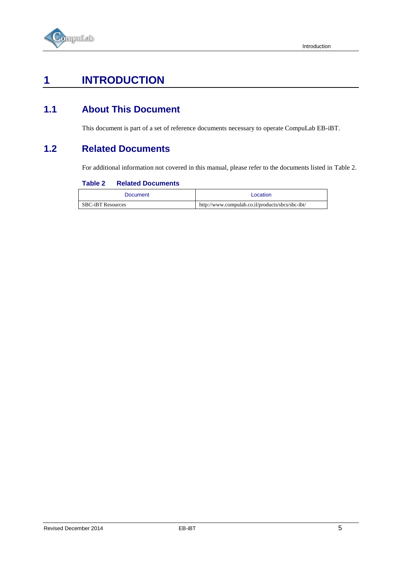

# <span id="page-4-0"></span>**1 INTRODUCTION**

## <span id="page-4-1"></span>**1.1 About This Document**

This document is part of a set of reference documents necessary to operate CompuLab EB-iBT.

## <span id="page-4-3"></span><span id="page-4-2"></span>**1.2 Related Documents**

For additional information not covered in this manual, please refer to the documents listed in [Table 2.](#page-4-3)

#### **Table 2 Related Documents**

| Document                 | _ocation                                         |
|--------------------------|--------------------------------------------------|
| <b>SBC-iBT Resources</b> | http://www.compulab.co.il/products/sbcs/sbc-ibt/ |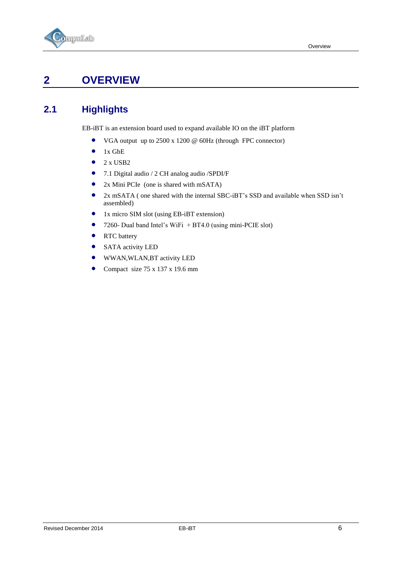



# <span id="page-5-0"></span>**2 OVERVIEW**

## <span id="page-5-1"></span>**2.1 Highlights**

EB-iBT is an extension board used to expand available IO on the iBT platform

- VGA output up to 2500 x 1200 @ 60Hz (through FPC connector)
- $\bullet$  1x GbE
- $\bullet$  2 x USB2
- 7.1 Digital audio / 2 CH analog audio /SPDI/F
- 2x Mini PCIe (one is shared with mSATA)
- 2x mSATA ( one shared with the internal SBC-iBT's SSD and available when SSD isn't assembled)
- 1x micro SIM slot (using EB-iBT extension)
- 7260- Dual band Intel's WiFi + BT4.0 (using mini-PCIE slot)
- RTC battery
- SATA activity LED
- WWAN,WLAN,BT activity LED
- Compact size  $75 \times 137 \times 19.6$  mm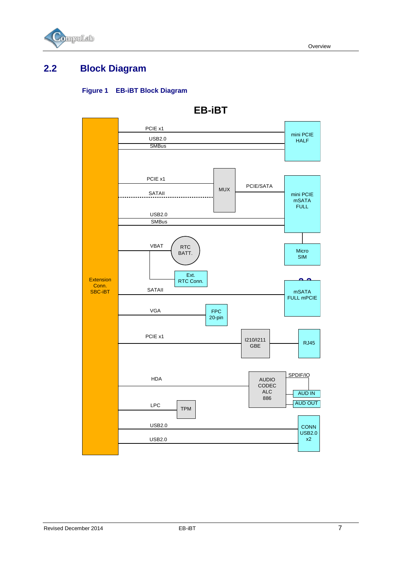

## <span id="page-6-0"></span>**2.2 Block Diagram**

#### **Figure 1 EB-iBT Block Diagram**



## **EB-iBT**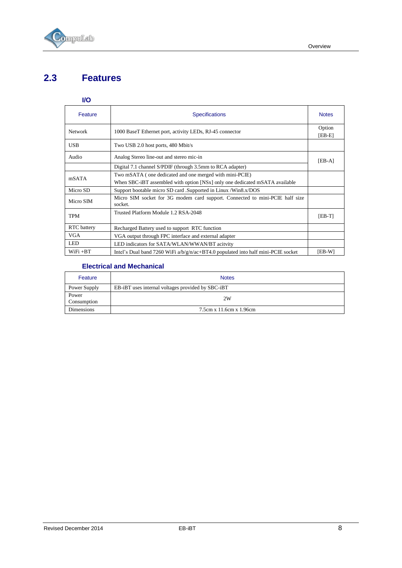

## <span id="page-7-0"></span>**2.3 Features**

#### **I/O**

| Feature                                                                    | <b>Specifications</b>                                                                   | <b>Notes</b>       |
|----------------------------------------------------------------------------|-----------------------------------------------------------------------------------------|--------------------|
| <b>Network</b>                                                             | 1000 BaseT Ethernet port, activity LEDs, RJ-45 connector                                | Option<br>$[EB-E]$ |
| <b>USB</b>                                                                 | Two USB 2.0 host ports, 480 Mbit/s                                                      |                    |
| Audio                                                                      | Analog Stereo line-out and stereo mic-in                                                | $[EB-A]$           |
|                                                                            | Digital 7.1 channel S/PDIF (through 3.5mm to RCA adapter)                               |                    |
| mSATA                                                                      | Two mSATA (one dedicated and one merged with mini-PCIE)                                 |                    |
|                                                                            | When SBC-iBT assembled with option [NSx] only one dedicated mSATA available             |                    |
| Support bootable micro SD card .Supported in Linux /Win8.x/DOS<br>Micro SD |                                                                                         |                    |
| Micro SIM                                                                  | Micro SIM socket for 3G modem card support. Connected to mini-PCIE half size<br>socket. |                    |
| <b>TPM</b>                                                                 | Trusted Platform Module 1.2 RSA-2048                                                    |                    |
| RTC battery                                                                | Recharged Battery used to support RTC function                                          |                    |
| <b>VGA</b><br>VGA output through FPC interface and external adapter        |                                                                                         |                    |
| <b>LED</b><br>LED indicators for SATA/WLAN/WWAN/BT acitvity                |                                                                                         |                    |
| $WiFi + BT$                                                                | Intel's Dual band 7260 WiFi $a/b/g/n/ac+BT4.0$ populated into half mini-PCIE socket     | [EB-W]             |

#### **Electrical and Mechanical**

| Feature              | <b>Notes</b>                                      |
|----------------------|---------------------------------------------------|
| Power Supply         | EB-iBT uses internal voltages provided by SBC-iBT |
| Power<br>Consumption | 2W                                                |
| Dimensions           | 7.5cm x 11.6cm x 1.96cm                           |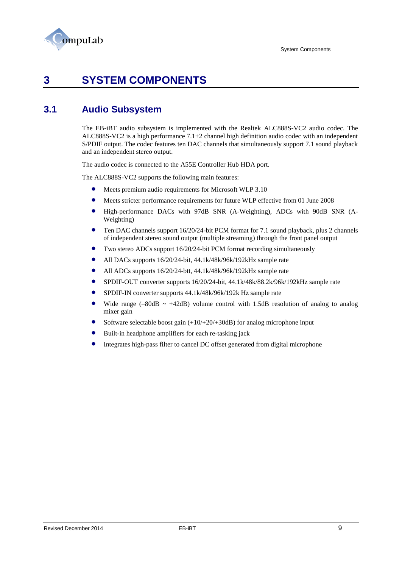

# <span id="page-8-0"></span>**3 SYSTEM COMPONENTS**

## <span id="page-8-1"></span>**3.1 Audio Subsystem**

The EB-iBT audio subsystem is implemented with the Realtek ALC888S-VC2 audio codec. The ALC888S-VC2 is a high performance 7.1+2 channel high definition audio codec with an independent S/PDIF output. The codec features ten DAC channels that simultaneously support 7.1 sound playback and an independent stereo output.

The audio codec is connected to the A55E Controller Hub HDA port.

The ALC888S-VC2 supports the following main features:

- Meets premium audio requirements for Microsoft WLP 3.10
- Meets stricter performance requirements for future WLP effective from 01 June 2008
- High-performance DACs with 97dB SNR (A-Weighting), ADCs with 90dB SNR (A-Weighting)
- Ten DAC channels support 16/20/24-bit PCM format for 7.1 sound playback, plus 2 channels of independent stereo sound output (multiple streaming) through the front panel output
- Two stereo ADCs support 16/20/24-bit PCM format recording simultaneously
- All DACs supports 16/20/24-bit, 44.1k/48k/96k/192kHz sample rate
- All ADCs supports 16/20/24-btt, 44.1k/48k/96k/192kHz sample rate
- SPDIF-OUT converter supports 16/20/24-bit, 44.1k/48k/88.2k/96k/192kHz sample rate
- SPDIF-IN converter supports 44.1k/48k/96k/192k Hz sample rate
- Wide range  $(-80dB \sim +42dB)$  volume control with 1.5dB resolution of analog to analog mixer gain
- Software selectable boost gain (+10/+20/+30dB) for analog microphone input
- Built-in headphone amplifiers for each re-tasking jack
- Integrates high-pass filter to cancel DC offset generated from digital microphone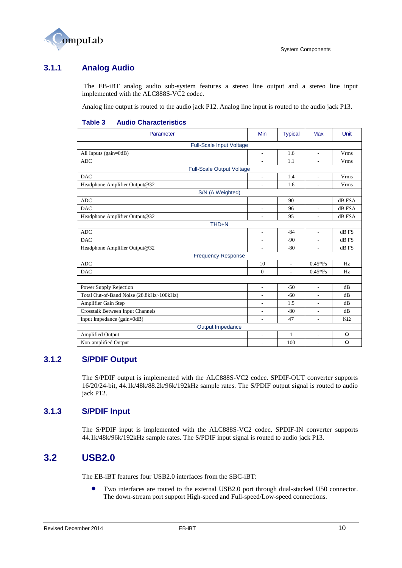

### <span id="page-9-0"></span>**3.1.1 Analog Audio**

The EB-iBT analog audio sub-system features a stereo line output and a stereo line input implemented with the ALC888S-VC2 codec.

Analog line output is routed to the audio jack P12. Analog line input is routed to the audio jack P13.

#### **Table 3 Audio Characteristics**

| Parameter                                | Min                          | <b>Typical</b> | Max            | Unit        |
|------------------------------------------|------------------------------|----------------|----------------|-------------|
| Full-Scale Input Voltage                 |                              |                |                |             |
| All Inputs (gain=0dB)                    | $\overline{a}$               | 1.6            | $\overline{a}$ | Vrms        |
| <b>ADC</b>                               | $\overline{a}$               | 1.1            | ä,             | <b>Vrms</b> |
| <b>Full-Scale Output Voltage</b>         |                              |                |                |             |
| <b>DAC</b>                               | $\overline{a}$               | 1.4            | ÷.             | <b>Vrms</b> |
| Headphone Amplifier Output@32            | $\overline{a}$               | 1.6            | ä,             | Vrms        |
| S/N (A Weighted)                         |                              |                |                |             |
| <b>ADC</b>                               | L.                           | 90             | $\mathbf{r}$   | dB FSA      |
| <b>DAC</b>                               | L,                           | 96             | L,             | dB FSA      |
| Headphone Amplifier Output@32            | $\overline{a}$               | 95             | ä,             | dB FSA      |
| THD+N                                    |                              |                |                |             |
| <b>ADC</b>                               | $\qquad \qquad \blacksquare$ | $-84$          | $\overline{a}$ | dB FS       |
| <b>DAC</b>                               | L.                           | $-90$          |                | dB FS       |
| Headphone Amplifier Output@32            |                              | $-80$          | L.             | dB FS       |
| <b>Frequency Response</b>                |                              |                |                |             |
| <b>ADC</b>                               | 10                           | L,             | $0.45*Fs$      | Hz          |
| <b>DAC</b>                               | $\Omega$                     | $\overline{a}$ | $0.45*Fs$      | Hz          |
|                                          |                              |                |                |             |
| Power Supply Rejection                   | $\overline{a}$               | $-50$          | L.             | dB          |
| Total Out-of-Band Noise (28.8kHz~100kHz) | $\overline{a}$               | $-60$          | L.             | dB          |
| Amplifier Gain Step                      |                              | 1.5            | $\overline{a}$ | dB          |
| Crosstalk Between Input Channels         |                              | $-80$          |                | dB          |
| Input Impedance (gain=0dB)               |                              | 47             | ÷.             | $K\Omega$   |
| Output Impedance                         |                              |                |                |             |
| Amplified Output                         | L,                           | 1              | ä,             | Ω           |
| Non-amplified Output                     | ÷                            | 100            | ä,             | Ω           |

### <span id="page-9-1"></span>**3.1.2 S/PDIF Output**

The S/PDIF output is implemented with the ALC888S-VC2 codec. SPDIF-OUT converter supports 16/20/24-bit, 44.1k/48k/88.2k/96k/192kHz sample rates. The S/PDIF output signal is routed to audio jack P12.

#### <span id="page-9-2"></span>**3.1.3 S/PDIF Input**

The S/PDIF input is implemented with the ALC888S-VC2 codec. SPDIF-IN converter supports 44.1k/48k/96k/192kHz sample rates. The S/PDIF input signal is routed to audio jack P13.

### <span id="page-9-3"></span>**3.2 USB2.0**

The EB-iBT features four USB2.0 interfaces from the SBC-iBT:

 Two interfaces are routed to the external USB2.0 port through dual-stacked U50 connector. The down-stream port support High-speed and Full-speed/Low-speed connections.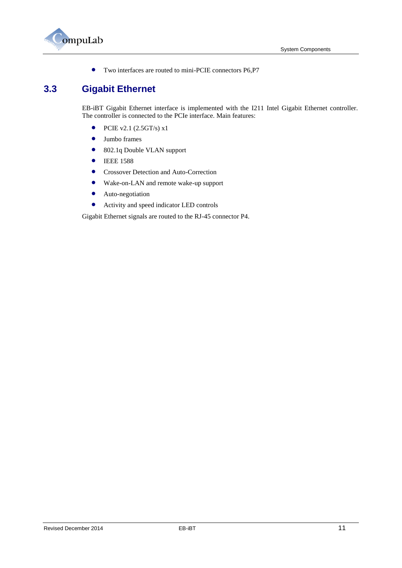

Two interfaces are routed to mini-PCIE connectors P6,P7

## <span id="page-10-0"></span>**3.3 Gigabit Ethernet**

EB-iBT Gigabit Ethernet interface is implemented with the I211 Intel Gigabit Ethernet controller. The controller is connected to the PCIe interface. Main features:

- PCIE v2.1 (2.5GT/s)  $x1$
- Jumbo frames
- 802.1q Double VLAN support
- **•** IEEE 1588
- **•** Crossover Detection and Auto-Correction
- Wake-on-LAN and remote wake-up support
- **•** Auto-negotiation
- Activity and speed indicator LED controls

Gigabit Ethernet signals are routed to the RJ-45 connector P4.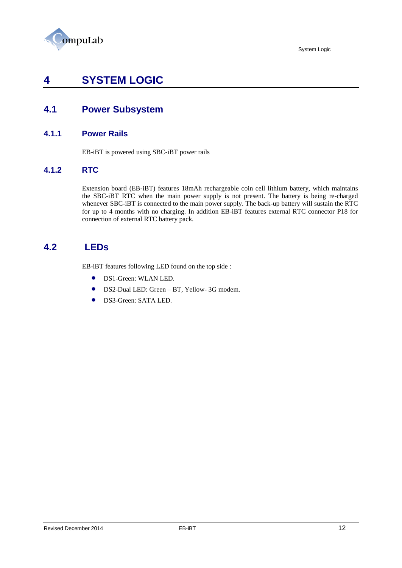

## <span id="page-11-0"></span>**4 SYSTEM LOGIC**

## <span id="page-11-1"></span>**4.1 Power Subsystem**

#### <span id="page-11-2"></span>**4.1.1 Power Rails**

EB-iBT is powered using SBC-iBT power rails

### <span id="page-11-3"></span>**4.1.2 RTC**

Extension board (EB-iBT) features 18mAh rechargeable coin cell lithium battery, which maintains the SBC-iBT RTC when the main power supply is not present. The battery is being re-charged whenever SBC-iBT is connected to the main power supply. The back-up battery will sustain the RTC for up to 4 months with no charging. In addition EB-iBT features external RTC connector P18 for connection of external RTC battery pack.

### **4.2 LEDs**

<span id="page-11-4"></span>EB-iBT features following LED found on the top side :

- DS1-Green: WLAN LED.
- DS2-Dual LED: Green BT, Yellow- 3G modem.
- DS3-Green: SATA LED.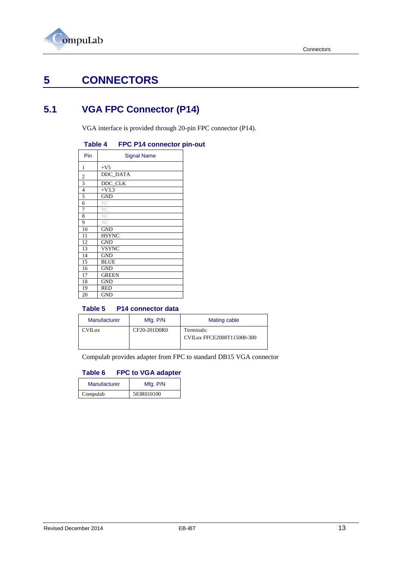

# <span id="page-12-0"></span>**5 CONNECTORS**

# <span id="page-12-1"></span>**5.1 VGA FPC Connector (P14)**

VGA interface is provided through 20-pin FPC connector (P14).

#### **Table 4 FPC P14 connector pin-out**

| Pin            | <b>Signal Name</b> |
|----------------|--------------------|
| 1              | $+V5$              |
|                | DDC_DATA           |
| $\frac{2}{3}$  | DDC CLK            |
| $\overline{4}$ | $+V3.3$            |
| $\overline{5}$ | <b>GND</b>         |
| 6              | NC                 |
| 7              | NC                 |
| 8              | NC                 |
| 9              | NC                 |
| 10             | <b>GND</b>         |
| 11             | <b>HSYNC</b>       |
| 12             | <b>GND</b>         |
| 13             | <b>VSYNC</b>       |
| 14             | <b>GND</b>         |
| 15             | <b>BLUE</b>        |
| 16             | <b>GND</b>         |
| 17             | <b>GREEN</b>       |
| 18             | <b>GND</b>         |
| 19             | <b>RED</b>         |
| 20             | <b>GND</b>         |

#### **Table 5 P14 connector data**

| Manufacturer   | Mfg. P/N     | Mating cable                             |
|----------------|--------------|------------------------------------------|
| <b>CVIL</b> ux | CF20-201D0R0 | Terminals:<br>CVILux FFCE2008T115000-300 |

Compulab provides adapter from FPC to standard DB15 VGA connector

#### **Table 6 FPC to VGA adapter**

| Manufacturer | Mfg. P/N   |  |
|--------------|------------|--|
| Compulab     | 503R010100 |  |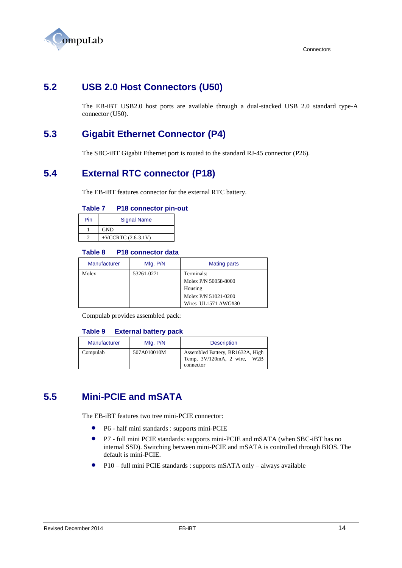

## <span id="page-13-0"></span>**5.2 USB 2.0 Host Connectors (U50)**

The EB-iBT USB2.0 host ports are available through a dual-stacked USB 2.0 standard type-A connector (U50).

## <span id="page-13-1"></span>**5.3 Gigabit Ethernet Connector (P4)**

The SBC-iBT Gigabit Ethernet port is routed to the standard RJ-45 connector (P26).

## <span id="page-13-2"></span>**5.4 External RTC connector (P18)**

The EB-iBT features connector for the external RTC battery.

#### **Table 7 P18 connector pin-out**

| Pin | <b>Signal Name</b>   |  |
|-----|----------------------|--|
|     | <b>GND</b>           |  |
|     | +VCCRTC $(2.6-3.1V)$ |  |

#### **Table 8 P18 connector data**

| <b>Manufacturer</b> | Mfg. P/N   | <b>Mating parts</b>  |
|---------------------|------------|----------------------|
| Molex               | 53261-0271 | Terminals:           |
|                     |            | Molex P/N 50058-8000 |
|                     |            | Housing              |
|                     |            | Molex P/N 51021-0200 |
|                     |            | Wires UL1571 AWG#30  |

Compulab provides assembled pack:

#### **Table 9 External battery pack**

| Manufacturer | Mfg. P/N    | <b>Description</b>                                                           |
|--------------|-------------|------------------------------------------------------------------------------|
| Compulab     | 507A010010M | Assembled Battery, BR1632A, High<br>Temp, 3V/120mA, 2 wire, W2B<br>connector |

## <span id="page-13-3"></span>**5.5 Mini-PCIE and mSATA**

The EB-iBT features two tree mini-PCIE connector:

- P6 half mini standards : supports mini-PCIE
- P7 full mini PCIE standards: supports mini-PCIE and mSATA (when SBC-iBT has no internal SSD). Switching between mini-PCIE and mSATA is controlled through BIOS. The default is mini-PCIE.
- P10 full mini PCIE standards : supports mSATA only always available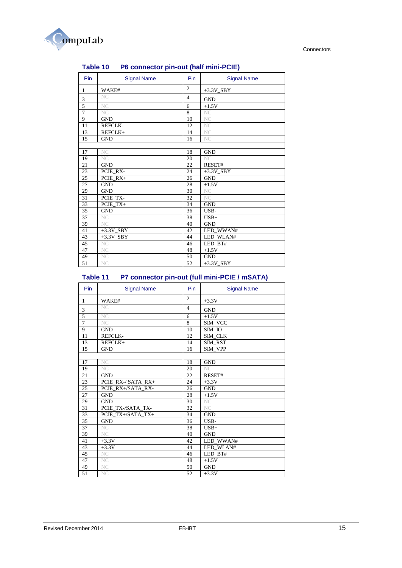

| Lawit TV<br><b>FU CONNECTOR DIRECTOR (HAIR HIMSE CIL)</b> |                    |                 |                         |
|-----------------------------------------------------------|--------------------|-----------------|-------------------------|
| Pin                                                       | <b>Signal Name</b> | <b>Pin</b>      | <b>Signal Name</b>      |
| $\mathbf{1}$                                              | WAKE#              | $\overline{2}$  | $+3.3V$ <sub>_SBY</sub> |
| 3                                                         | NC <sub></sub>     | $\overline{4}$  | <b>GND</b>              |
| 5                                                         | NC                 | 6               | $+1.5V$                 |
| $\overline{7}$                                            | NC.                | 8               | NC                      |
| 9                                                         | <b>GND</b>         | 10              | NC                      |
| 11                                                        | REFCLK-            | 12              | NC                      |
| 13                                                        | REFCLK+            | 14              | <b>NC</b>               |
| 15                                                        | <b>GND</b>         | 16              | NC.                     |
|                                                           |                    |                 |                         |
| 17                                                        | NC <sub></sub>     | 18              | <b>GND</b>              |
| 19                                                        | NC.                | 20              | NC.                     |
| 21                                                        | <b>GND</b>         | 22              | RESET#                  |
| 23                                                        | PCIE_RX-           | 24              | $+3.3V$ SBY             |
| 25                                                        | PCIE RX+           | 26              | <b>GND</b>              |
| 27                                                        | <b>GND</b>         | 28              | $+1.5V$                 |
| 29                                                        | <b>GND</b>         | 30              | <b>NC</b>               |
| 31                                                        | PCIE TX-           | $\overline{32}$ | NC.                     |
| 33                                                        | PCIE TX+           | 34              | <b>GND</b>              |
| 35                                                        | <b>GND</b>         | 36              | USB-                    |
| 37                                                        | NC                 | 38              | $USB+$                  |
| 39                                                        | NC                 | 40              | <b>GND</b>              |
| 41                                                        | $+3.3V$ SBY        | 42              | LED WWAN#               |
| 43                                                        | $+3.3V$ SBY        | 44              | LED WLAN#               |
| 45                                                        | NC                 | 46              | LED BT#                 |
| 47                                                        | NC                 | 48              | $+1.5V$                 |
| 49                                                        | <b>NC</b>          | 50              | <b>GND</b>              |
| 51                                                        | NC <sub>1</sub>    | 52              | $+3.3V$ SBY             |

### **Table 10 P6 connector pin-out (half mini-PCIE)**

#### **Table 11 P7 connector pin-out (full mini-PCIE / mSATA)**

| Pin             | <b>Signal Name</b> | Pin            | <b>Signal Name</b> |
|-----------------|--------------------|----------------|--------------------|
| 1               | WAKE#              | $\overline{c}$ | $+3.3V$            |
| 3               | NC <sub>1</sub>    | $\overline{4}$ | <b>GND</b>         |
| $\overline{5}$  | NC <sub>1</sub>    | 6              | $+1.5V$            |
| $\overline{7}$  | NC <sub>1</sub>    | 8              | SIM VCC            |
| 9               | <b>GND</b>         | 10             | SIM IO             |
| 11              | <b>REFCLK-</b>     | 12             | SIM_CLK            |
| 13              | REFCLK+            | 14             | SIM RST            |
| 15              | <b>GND</b>         | 16             | SIM VPP            |
|                 |                    |                |                    |
| 17              | <b>NC</b>          | 18             | <b>GND</b>         |
| 19              | NC.                | 20             | NC                 |
| 21              | <b>GND</b>         | 22             | RESET#             |
| 23              | PCIE RX-/ SATA RX+ | 24             | $+3.3V$            |
| 25              | PCIE_RX+/SATA_RX-  | 26             | <b>GND</b>         |
| 27              | <b>GND</b>         | 28             | $+1.5V$            |
| 29              | <b>GND</b>         | 30             | NC                 |
| 31              | PCIE TX-/SATA TX-  | 32             | NC.                |
| 33              | PCIE_TX+/SATA_TX+  | 34             | <b>GND</b>         |
| 35              | <b>GND</b>         | 36             | USB-               |
| 37              | NC                 | 38             | $USB+$             |
| 39              | NC <sub>1</sub>    | 40             | <b>GND</b>         |
| 41              | $+3.3V$            | 42             | LED WWAN#          |
| 43              | $+3.3V$            | 44             | LED_WLAN#          |
| 45              | NC                 | 46             | LED BT#            |
| 47              | NC                 | 48             | $+1.5V$            |
| 49              | NC <sub></sub>     | 50             | <b>GND</b>         |
| $\overline{51}$ | NC <sub></sub>     | 52             | $+3.3V$            |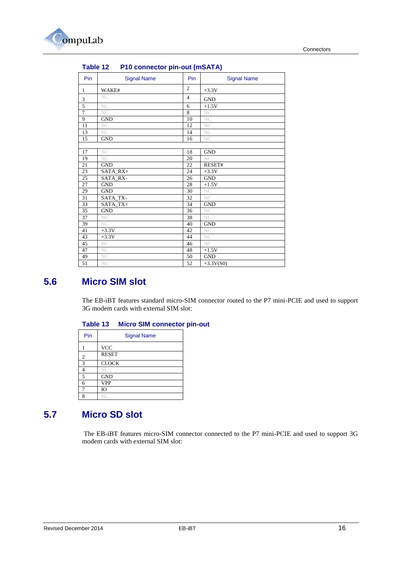

|                | <b>Table 12</b><br><b>PTU CONNECTOR DIN-OUT (INDATA)</b> |                |                    |
|----------------|----------------------------------------------------------|----------------|--------------------|
| Pin            | <b>Signal Name</b>                                       | Pin            | <b>Signal Name</b> |
| 1              | WAKE#                                                    | $\overline{2}$ | $+3.3V$            |
| 3              | <b>NC</b>                                                | $\overline{4}$ | <b>GND</b>         |
| 5              | NC.                                                      | 6              | $+1.5V$            |
| $\overline{7}$ | NC.                                                      | 8              | NC                 |
| 9              | <b>GND</b>                                               | 10             | NC                 |
| 11             | <b>NC</b>                                                | 12             | NC                 |
| 13             | <b>NC</b>                                                | 14             | NC                 |
| 15             | <b>GND</b>                                               | 16             | NC                 |
|                |                                                          |                |                    |
| 17             | NC                                                       | 18             | <b>GND</b>         |
| 19             | NC                                                       | 20             | NC.                |
| 21             | <b>GND</b>                                               | 22             | RESET#             |
| 23             | SATA RX+                                                 | 24             | $+3.3V$            |
| 25             | SATA_RX-                                                 | 26             | <b>GND</b>         |
| 27             | <b>GND</b>                                               | 28             | $+1.5V$            |
| 29             | <b>GND</b>                                               | 30             | NC                 |
| 31             | SATA_TX-                                                 | 32             | <b>NC</b>          |
| 33             | SATA TX+                                                 | 34             | <b>GND</b>         |
| 35             | <b>GND</b>                                               | 36             | NC                 |
| 37             | <b>NC</b>                                                | 38             | NC.                |
| 39             | NC.                                                      | 40             | <b>GND</b>         |
| 41             | $+3.3V$                                                  | 42             | <b>NC</b>          |
| 43             | $+3.3V$                                                  | 44             | NC                 |
| 45             | <b>NC</b>                                                | 46             | NC.                |
| 47             | NC                                                       | 48             | $+1.5V$            |
| 49             | NC                                                       | 50             | <b>GND</b>         |
| 51             | NC.                                                      | 52             | $+3.3V(S0)$        |

### **Table 12 P10 connector pin-out (mSATA)**

## <span id="page-15-0"></span>**5.6 Micro SIM slot**

The EB-iBT features standard micro-SIM connector routed to the P7 mini-PCIE and used to support 3G modem cards with external SIM slot:

#### **Table 13 Micro SIM connector pin-out**

| Pin | <b>Signal Name</b> |
|-----|--------------------|
|     | <b>VCC</b>         |
| 2   | <b>RESET</b>       |
| 3   | <b>CLOCK</b>       |
|     | NC                 |
| 5   | <b>GND</b>         |
| 6   | <b>VPP</b>         |
|     | IO                 |
| Q   |                    |

## <span id="page-15-1"></span>**5.7 Micro SD slot**

The EB-iBT features micro-SIM connector connected to the P7 mini-PCIE and used to support 3G modem cards with external SIM slot: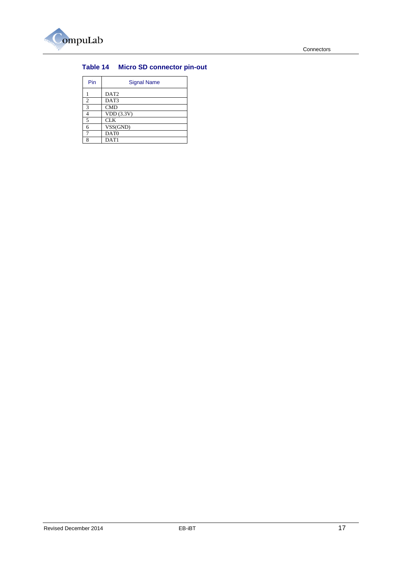

### **Table 14 Micro SD connector pin-out**

| Pin            | <b>Signal Name</b> |
|----------------|--------------------|
|                | DAT <sub>2</sub>   |
| $\overline{2}$ | DAT3               |
| 3              | <b>CMD</b>         |
| 4              | VDD(3.3V)          |
| 5              | <b>CLK</b>         |
| 6              | VSS(GND)           |
|                | DAT <sub>0</sub>   |
| o              | DAT <sub>1</sub>   |